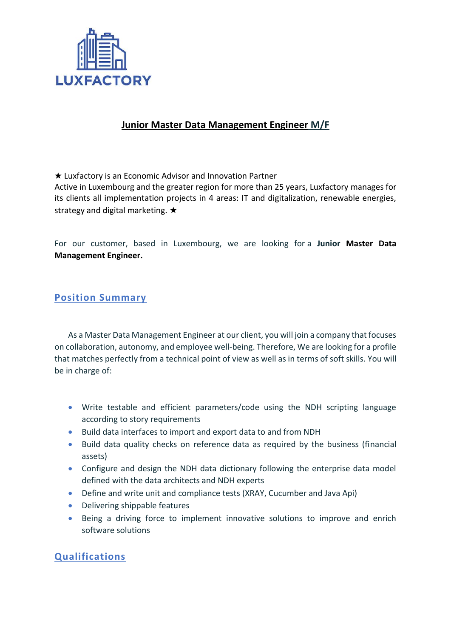

## **Junior Master Data Management Engineer M/F**

★ Luxfactory is an Economic Advisor and Innovation Partner

Active in Luxembourg and the greater region for more than 25 years, Luxfactory manages for its clients all implementation projects in 4 areas: IT and digitalization, renewable energies, strategy and digital marketing. ★

For our customer, based in Luxembourg, we are looking for a **Junior Master Data Management Engineer.**

## **Position Summary**

As a Master Data Management Engineer at our client, you will join a company that focuses on collaboration, autonomy, and employee well-being. Therefore, We are looking for a profile that matches perfectly from a technical point of view as well as in terms of soft skills. You will be in charge of:

- Write testable and efficient parameters/code using the NDH scripting language according to story requirements
- Build data interfaces to import and export data to and from NDH
- Build data quality checks on reference data as required by the business (financial assets)
- Configure and design the NDH data dictionary following the enterprise data model defined with the data architects and NDH experts
- Define and write unit and compliance tests (XRAY, Cucumber and Java Api)
- Delivering shippable features
- Being a driving force to implement innovative solutions to improve and enrich software solutions

## **Qualifications**